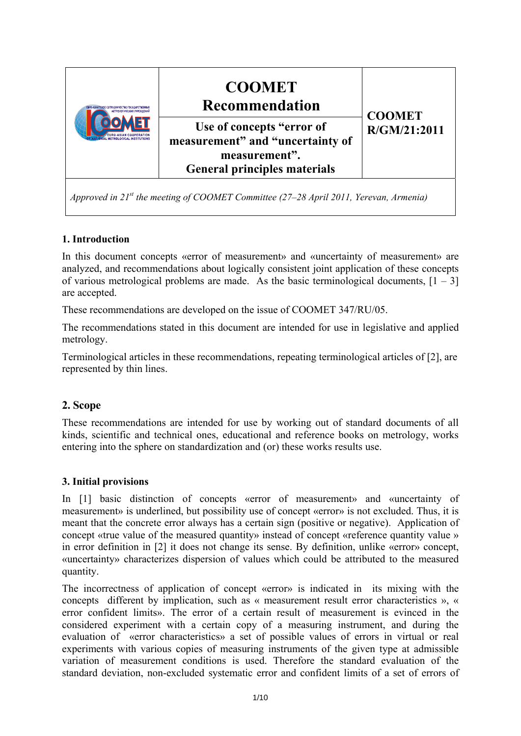

*Approved in 21st the meeting of COOMET Committee (27–28 April 2011, Yerevan, Armenia)*

# **1. Introduction**

In this document concepts «error of measurement» and «uncertainty of measurement» are analyzed, and recommendations about logically consistent joint application of these concepts of various metrological problems are made. As the basic terminological documents,  $[1 - 3]$ are accepted.

These recommendations are developed on the issue of CООМЕТ 347/RU/05.

The recommendations stated in this document are intended for use in legislative and applied metrology.

Terminological articles in these recommendations, repeating terminological articles of [2], are represented by thin lines.

# **2. Scope**

These recommendations are intended for use by working out of standard documents of all kinds, scientific and technical ones, educational and reference books on metrology, works entering into the sphere on standardization and (or) these works results use.

## **3. Initial provisions**

In [1] basic distinction of concepts «error of measurement» and «uncertainty of measurement» is underlined, but possibility use of concept «error» is not excluded. Thus, it is meant that the concrete error always has a certain sign (positive or negative). Application of concept «true value of the measured quantity» instead of concept «reference quantity value » in error definition in [2] it does not change its sense. By definition, unlike «error» concept, «uncertainty» characterizes dispersion of values which could be attributed to the measured quantity.

The incorrectness of application of concept «error» is indicated in its mixing with the concepts different by implication, such as « measurement result error characteristics », « error confident limits». The error of a certain result of measurement is evinced in the considered experiment with a certain copy of a measuring instrument, and during the evaluation of «error characteristics» a set of possible values of errors in virtual or real experiments with various copies of measuring instruments of the given type at admissible variation of measurement conditions is used. Therefore the standard evaluation of the standard deviation, non-excluded systematic error and confident limits of a set of errors of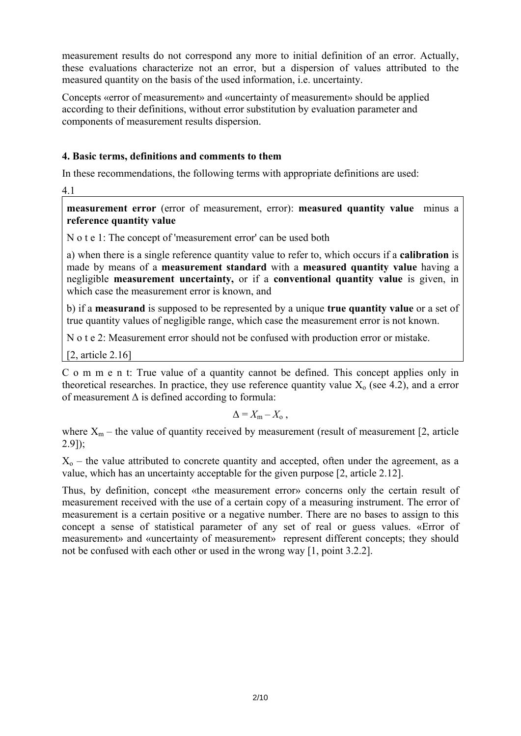measurement results do not correspond any more to initial definition of an error. Actually, these evaluations characterize not an error, but a dispersion of values attributed to the measured quantity on the basis of the used information, i.e. uncertainty.

Concepts «error of measurement» and «uncertainty of measurement» should be applied according to their definitions, without error substitution by evaluation parameter and components of measurement results dispersion.

## **4. Basic terms, definitions and comments to them**

In these recommendations, the following terms with appropriate definitions are used:

4.1

**measurement error** (error of measurement, error): **measured quantity value** minus a **reference quantity value**

N o t e 1: The concept of 'measurement error' can be used both

a) when there is a single reference quantity value to refer to, which occurs if a **calibration** is made by means of a **measurement standard** with a **measured quantity value** having a negligible **measurement uncertainty,** or if a **conventional quantity value** is given, in which case the measurement error is known, and

b) if a **measurand** is supposed to be represented by a unique **true quantity value** or a set of true quantity values of negligible range, which case the measurement error is not known.

N o t e 2: Measurement error should not be confused with production error or mistake.

[2, article 2.16]

C o m m e n t: True value of a quantity cannot be defined. This concept applies only in theoretical researches. In practice, they use reference quantity value  $X_0$  (see 4.2), and a error of measurement  $\Delta$  is defined according to formula:

$$
\Delta = X_{\rm m} - X_{\rm o} \ ,
$$

where  $X_m$  – the value of quantity received by measurement (result of measurement [2, article 2.9]);

 $X_0$  – the value attributed to concrete quantity and accepted, often under the agreement, as a value, which has an uncertainty acceptable for the given purpose [2, article 2.12].

Thus, by definition, concept «the measurement error» concerns only the certain result of measurement received with the use of a certain copy of a measuring instrument. The error of measurement is a certain positive or a negative number. There are no bases to assign to this concept a sense of statistical parameter of any set of real or guess values. «Error of measurement» and «uncertainty of measurement» represent different concepts; they should not be confused with each other or used in the wrong way [1, point 3.2.2].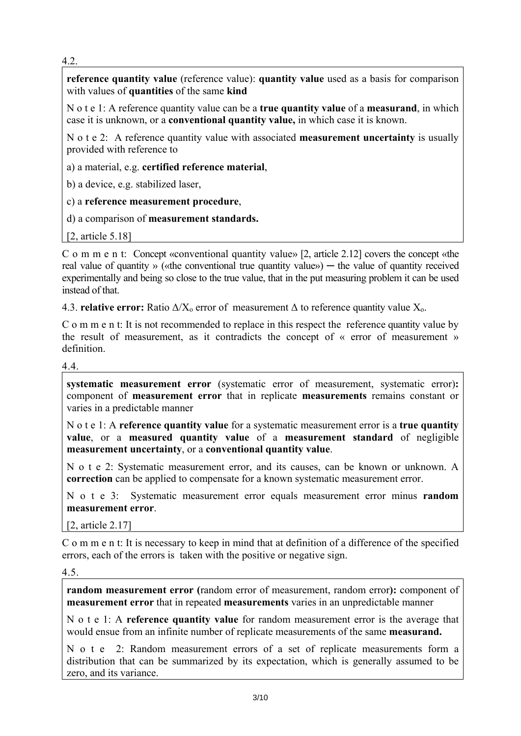4.2.

**reference quantity value** (reference value): **quantity value** used as a basis for comparison with values of **quantities** of the same **kind**

N o t e 1: A reference quantity value can be a **true quantity value** of a **measurand**, in which case it is unknown, or a **conventional quantity value,** in which case it is known.

N o t e 2: A reference quantity value with associated **measurement uncertainty** is usually provided with reference to

a) a material, e.g. **certified reference material**,

b) a device, e.g. stabilized laser,

c) a **reference measurement procedure**,

d) a comparison of **measurement standards.** 

[2, article 5.18]

C o m m e n t: Concept «conventional quantity value» [2, article 2.12] covers the concept «the real value of quantity » («the conventional true quantity value») — the value of quantity received experimentally and being so close to the true value, that in the put measuring problem it can be used instead of that.

4.3. **relative error:** Ratio  $\Delta/X_0$  error of measurement  $\Delta$  to reference quantity value  $X_0$ .

C o m m e n t: It is not recommended to replace in this respect the reference quantity value by the result of measurement, as it contradicts the concept of « error of measurement » definition.

4.4.

**systematic measurement error** (systematic error of measurement, systematic error)**:**  component of **measurement error** that in replicate **measurements** remains constant or varies in a predictable manner

N o t e 1: A **reference quantity value** for a systematic measurement error is a **true quantity value**, or a **measured quantity value** of a **measurement standard** of negligible **measurement uncertainty**, or a **conventional quantity value**.

N o t e 2: Systematic measurement error, and its causes, can be known or unknown. A **correction** can be applied to compensate for a known systematic measurement error.

N o t e 3: Systematic measurement error equals measurement error minus **random measurement error**.

[2, article 2.17]

C o m m e n t: It is necessary to keep in mind that at definition of a difference of the specified errors, each of the errors is taken with the positive or negative sign.

#### 4.5.

**random measurement error (**random error of measurement, random error**):** component of **measurement error** that in repeated **measurements** varies in an unpredictable manner

N o t e 1: A **reference quantity value** for random measurement error is the average that would ensue from an infinite number of replicate measurements of the same **measurand.** 

N o t e 2: Random measurement errors of a set of replicate measurements form a distribution that can be summarized by its expectation, which is generally assumed to be zero, and its variance.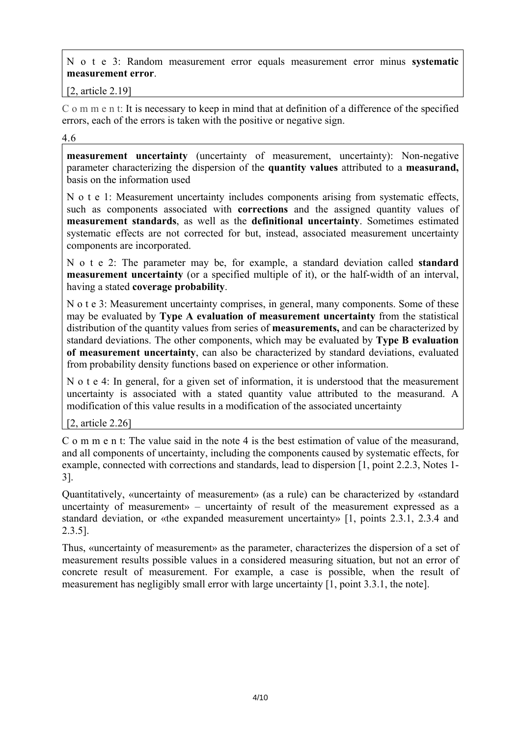N o t e 3: Random measurement error equals measurement error minus **systematic measurement error**.

[2, article 2.19]

C o m m e n t: It is necessary to keep in mind that at definition of a difference of the specified errors, each of the errors is taken with the positive or negative sign.

4.6

**measurement uncertainty** (uncertainty of measurement, uncertainty): Non-negative parameter characterizing the dispersion of the **quantity values** attributed to a **measurand,** basis on the information used

N o t e 1: Measurement uncertainty includes components arising from systematic effects, such as components associated with **corrections** and the assigned quantity values of **measurement standards**, as well as the **definitional uncertainty**. Sometimes estimated systematic effects are not corrected for but, instead, associated measurement uncertainty components are incorporated.

N o t e 2: The parameter may be, for example, a standard deviation called **standard measurement uncertainty** (or a specified multiple of it), or the half-width of an interval, having a stated **coverage probability**.

N o t e 3: Measurement uncertainty comprises, in general, many components. Some of these may be evaluated by **Type A evaluation of measurement uncertainty** from the statistical distribution of the quantity values from series of **measurements,** and can be characterized by standard deviations. The other components, which may be evaluated by **Type B evaluation of measurement uncertainty**, can also be characterized by standard deviations, evaluated from probability density functions based on experience or other information.

N o t e 4: In general, for a given set of information, it is understood that the measurement uncertainty is associated with a stated quantity value attributed to the measurand. A modification of this value results in a modification of the associated uncertainty

[2, article 2.26]

C o m m e n t: The value said in the note 4 is the best estimation of value of the measurand, and all components of uncertainty, including the components caused by systematic effects, for example, connected with corrections and standards, lead to dispersion [1, point 2.2.3, Notes 1- 3].

Quantitatively, «uncertainty of measurement» (as a rule) can be characterized by «standard uncertainty of measurement» – uncertainty of result of the measurement expressed as a standard deviation, or «the expanded measurement uncertainty» [1, points 2.3.1, 2.3.4 and 2.3.5].

Thus, «uncertainty of measurement» as the parameter, characterizes the dispersion of a set of measurement results possible values in a considered measuring situation, but not an error of concrete result of measurement. For example, a case is possible, when the result of measurement has negligibly small error with large uncertainty [1, point 3.3.1, the note].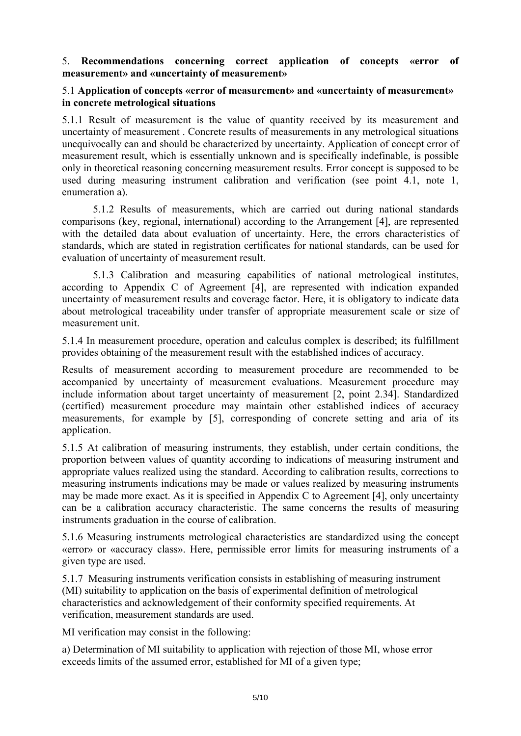#### 5. **Recommendations concerning correct application of concepts «error of measurement» and «uncertainty of measurement»**

### 5.1 **Application of concepts «error of measurement» and «uncertainty of measurement» in concrete metrological situations**

5.1.1 Result of measurement is the value of quantity received by its measurement and uncertainty of measurement . Concrete results of measurements in any metrological situations unequivocally can and should be characterized by uncertainty. Application of concept error of measurement result, which is essentially unknown and is specifically indefinable, is possible only in theoretical reasoning concerning measurement results. Error concept is supposed to be used during measuring instrument calibration and verification (see point 4.1, note 1, enumeration a).

 5.1.2 Results of measurements, which are carried out during national standards comparisons (key, regional, international) according to the Arrangement [4], are represented with the detailed data about evaluation of uncertainty. Here, the errors characteristics of standards, which are stated in registration certificates for national standards, can be used for evaluation of uncertainty of measurement result.

 5.1.3 Calibration and measuring capabilities of national metrological institutes, according to Appendix C of Agreement [4], are represented with indication expanded uncertainty of measurement results and coverage factor. Here, it is obligatory to indicate data about metrological traceability under transfer of appropriate measurement scale or size of measurement unit.

5.1.4 In measurement procedure, operation and calculus complex is described; its fulfillment provides obtaining of the measurement result with the established indices of accuracy.

Results of measurement according to measurement procedure are recommended to be accompanied by uncertainty of measurement evaluations. Measurement procedure may include information about target uncertainty of measurement [2, point 2.34]. Standardized (certified) measurement procedure may maintain other established indices of accuracy measurements, for example by [5], corresponding of concrete setting and aria of its application.

5.1.5 At calibration of measuring instruments, they establish, under certain conditions, the proportion between values of quantity according to indications of measuring instrument and appropriate values realized using the standard. According to calibration results, corrections to measuring instruments indications may be made or values realized by measuring instruments may be made more exact. As it is specified in Appendix C to Agreement [4], only uncertainty can be a calibration accuracy characteristic. The same concerns the results of measuring instruments graduation in the course of calibration.

5.1.6 Measuring instruments metrological characteristics are standardized using the concept «error» or «accuracy class». Here, permissible error limits for measuring instruments of a given type are used.

5.1.7 Measuring instruments verification consists in establishing of measuring instrument (MI) suitability to application on the basis of experimental definition of metrological characteristics and acknowledgement of their conformity specified requirements. At verification, measurement standards are used.

MI verification may consist in the following:

a) Determination of MI suitability to application with rejection of those MI, whose error exceeds limits of the assumed error, established for MI of a given type;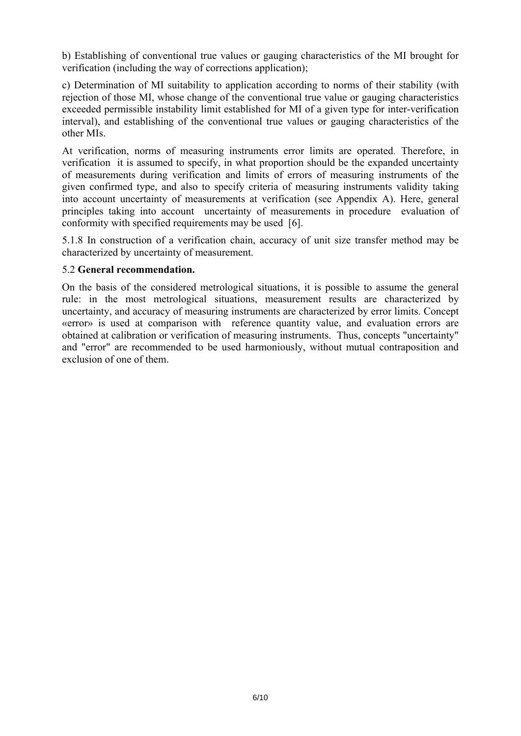b) Establishing of conventional true values or gauging characteristics of the MI brought for verification (including the way of corrections application);

c) Determination of MI suitability to application according to norms of their stability (with rejection of those MI, whose change of the conventional true value or gauging characteristics exceeded permissible instability limit established for MI of a given type for inter-verification interval), and establishing of the conventional true values or gauging characteristics of the other MIs.

At verification, norms of measuring instruments error limits are operated. Therefore, in verification it is assumed to specify, in what proportion should be the expanded uncertainty of measurements during verification and limits of errors of measuring instruments of the given confirmed type, and also to specify criteria of measuring instruments validity taking into account uncertainty of measurements at verification (see Appendix A). Here, general principles taking into account uncertainty of measurements in procedure evaluation of conformity with specified requirements may be used [6].

5.1.8 In construction of a verification chain, accuracy of unit size transfer method may be characterized by uncertainty of measurement.

### 5.2 **General recommendation.**

On the basis of the considered metrological situations, it is possible to assume the general rule: in the most metrological situations, measurement results are characterized by uncertainty, and accuracy of measuring instruments are characterized by error limits. Concept «error» is used at comparison with reference quantity value, and evaluation errors are obtained at calibration or verification of measuring instruments. Thus, concepts "uncertainty" and "error" are recommended to be used harmoniously, without mutual contraposition and exclusion of one of them.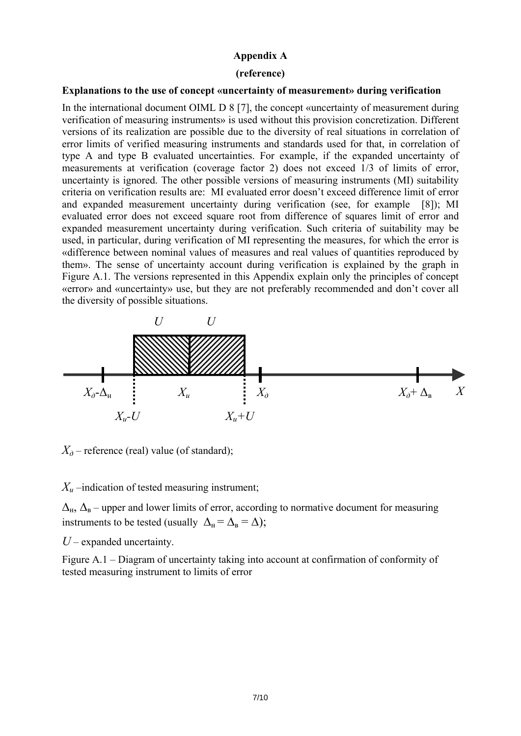#### **Appendix A**

#### **(reference)**

#### **Explanations to the use of concept «uncertainty of measurement» during verification**

In the international document OIML D 8 [7], the concept «uncertainty of measurement during verification of measuring instruments» is used without this provision concretization. Different versions of its realization are possible due to the diversity of real situations in correlation of error limits of verified measuring instruments and standards used for that, in correlation of type A and type B evaluated uncertainties. For example, if the expanded uncertainty of measurements at verification (coverage factor 2) does not exceed 1/3 of limits of error, uncertainty is ignored. The other possible versions of measuring instruments (MI) suitability criteria on verification results are: MI evaluated error doesn't exceed difference limit of error and expanded measurement uncertainty during verification (see, for example [8]); MI evaluated error does not exceed square root from difference of squares limit of error and expanded measurement uncertainty during verification. Such criteria of suitability may be used, in particular, during verification of MI representing the measures, for which the error is «difference between nominal values of measures and real values of quantities reproduced by them». The sense of uncertainty account during verification is explained by the graph in Figure А.1. The versions represented in this Appendix explain only the principles of concept «error» and «uncertainty» use, but they are not preferably recommended and don't cover all the diversity of possible situations.



 $X_{\partial}$  – reference (real) value (of standard);

*Хи* –indication of tested measuring instrument;

 $\Delta_{\rm H}$ ,  $\Delta_{\rm B}$  – upper and lower limits of error, according to normative document for measuring instruments to be tested (usually  $\Delta_{\rm H} = \Delta_{\rm B} = \Delta$ );

*U* – expanded uncertainty.

Figure А.1 – Diagram of uncertainty taking into account at confirmation of conformity of tested measuring instrument to limits of error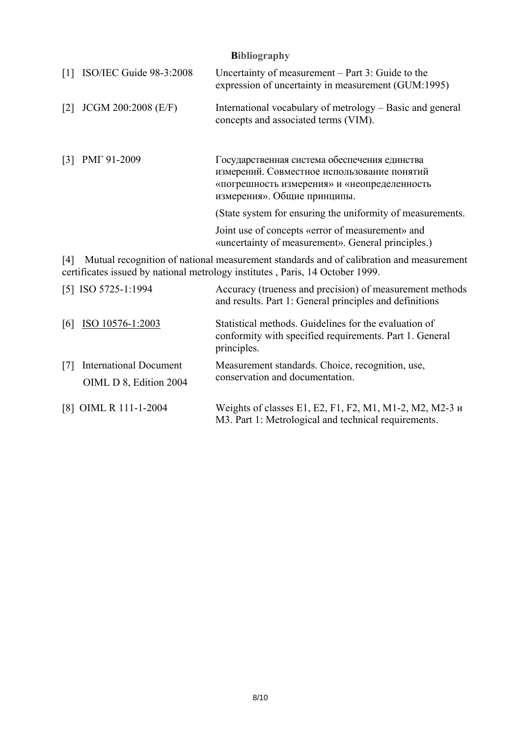| <b>Bibliography</b> |
|---------------------|
|                     |

| $\lceil 1 \rceil$ | ISO/IEC Guide 98-3:2008 | Uncertainty of measurement – Part 3: Guide to the<br>expression of uncertainty in measurement (GUM:1995)                                                                  |
|-------------------|-------------------------|---------------------------------------------------------------------------------------------------------------------------------------------------------------------------|
| $\lceil 2 \rceil$ | JCGM 200:2008 (E/F)     | International vocabulary of metrology – Basic and general<br>concepts and associated terms (VIM).                                                                         |
| $\lceil 3 \rceil$ | PMT 91-2009             | Государственная система обеспечения единства<br>измерений. Совместное использование понятий<br>«погрешность измерения» и «неопределенность<br>измерения». Общие принципы. |
|                   |                         | (State system for ensuring the uniformity of measurements.)                                                                                                               |
|                   |                         | Joint use of concepts «error of measurement» and<br>«uncertainty of measurement». General principles.)                                                                    |
| [4]               |                         | Mutual recognition of national measurement standards and of calibration and measurement<br>certificates issued by national metrology institutes, Paris, 14 October 1999.  |
|                   | [5] ISO 5725-1:1994     | Accuracy (trueness and precision) of measurement methods<br>and results. Part 1: General principles and definitions                                                       |
| 6                 | ISO 10576-1:2003        | Statistical methods. Guidelines for the evaluation of<br>conformity with specified requirements. Part 1. General<br>principles.                                           |

| [7] International Document | OIML D 8, Edition 2004 | Measurement standards. Choice, recognition, use,<br>conservation and documentation. |
|----------------------------|------------------------|-------------------------------------------------------------------------------------|
| [8] OIML R 111-1-2004      |                        | Weights of classes E1, E2, F1, F2, M1, M1-2, M2, M2-3 $\mu$                         |

M3. Part 1: Metrological and technical requirements.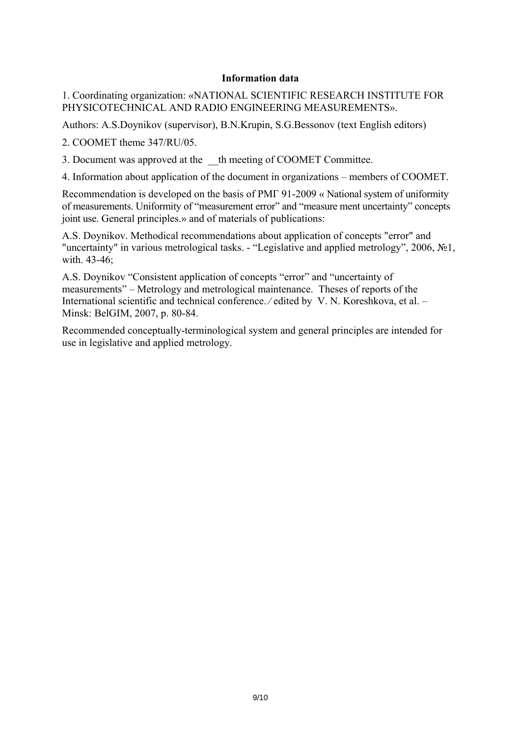#### **Information data**

1. Coordinating organization: «NATIONAL SCIENTIFIC RESEARCH INSTITUTE FOR PHYSICOTECHNICAL AND RADIO ENGINEERING MEASUREMENTS».

Authors: A.S.Doynikov (supervisor), B.N.Krupin, S.G.Bessonov (text English editors)

2. COOMET theme 347/RU/05.

3. Document was approved at the \_\_th meeting of COOMET Committee.

4. Information about application of the document in organizations – members of COOMET.

Recommendation is developed on the basis of РМГ 91-2009 « National system of uniformity of measurements. Uniformity of "measurement error" and "measure ment uncertainty" concepts joint use. General principles.» and of materials of publications:

A.S. Doynikov. Methodical recommendations about application of concepts "error" and "uncertainty" in various metrological tasks. - "Legislative and applied metrology", 2006, №1, with. 43-46;

A.S. Doynikov "Consistent application of concepts "error" and "uncertainty of measurements" – Metrology and metrological maintenance. Theses of reports of the International scientific and technical conference. ⁄ edited by V. N. Koreshkova, et al. – Minsk: BelGIM, 2007, p. 80-84.

Recommended conceptually-terminological system and general principles are intended for use in legislative and applied metrology.